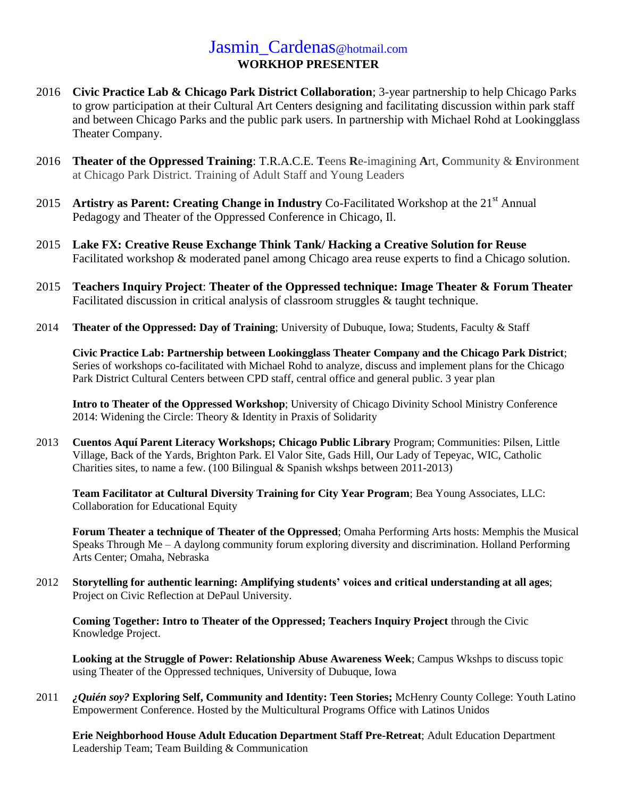## Jasmin Cardenas@hotmail.com **WORKHOP PRESENTER**

- 2016 **Civic Practice Lab & Chicago Park District Collaboration**; 3-year partnership to help Chicago Parks to grow participation at their Cultural Art Centers designing and facilitating discussion within park staff and between Chicago Parks and the public park users. In partnership with Michael Rohd at Lookingglass Theater Company.
- 2016 **Theater of the Oppressed Training**: T.R.A.C.E. **T**eens **R**e-imagining **A**rt, **C**ommunity & **E**nvironment at Chicago Park District. Training of Adult Staff and Young Leaders
- 2015 **Artistry as Parent: Creating Change in Industry** Co-Facilitated Workshop at the 21<sup>st</sup> Annual Pedagogy and Theater of the Oppressed Conference in Chicago, Il.
- 2015 **Lake FX: Creative Reuse Exchange Think Tank/ Hacking a Creative Solution for Reuse** Facilitated workshop & moderated panel among Chicago area reuse experts to find a Chicago solution.
- 2015 **Teachers Inquiry Project**: **Theater of the Oppressed technique: Image Theater & Forum Theater** Facilitated discussion in critical analysis of classroom struggles & taught technique.
- 2014 **Theater of the Oppressed: Day of Training**; University of Dubuque, Iowa; Students, Faculty & Staff

**Civic Practice Lab: Partnership between Lookingglass Theater Company and the Chicago Park District**; Series of workshops co-facilitated with Michael Rohd to analyze, discuss and implement plans for the Chicago Park District Cultural Centers between CPD staff, central office and general public. 3 year plan

**Intro to Theater of the Oppressed Workshop**; University of Chicago Divinity School Ministry Conference 2014: Widening the Circle: Theory & Identity in Praxis of Solidarity

2013 **Cuentos Aquí Parent Literacy Workshops; Chicago Public Library** Program; Communities: Pilsen, Little Village, Back of the Yards, Brighton Park. El Valor Site, Gads Hill, Our Lady of Tepeyac, WIC, Catholic Charities sites, to name a few. (100 Bilingual & Spanish wkshps between 2011-2013)

**Team Facilitator at Cultural Diversity Training for City Year Program**; Bea Young Associates, LLC: Collaboration for Educational Equity

**Forum Theater a technique of Theater of the Oppressed**; Omaha Performing Arts hosts: Memphis the Musical Speaks Through Me – A daylong community forum exploring diversity and discrimination. Holland Performing Arts Center; Omaha, Nebraska

2012 **Storytelling for authentic learning: Amplifying students' voices and critical understanding at all ages**; Project on Civic Reflection at DePaul University.

**Coming Together: Intro to Theater of the Oppressed; Teachers Inquiry Project** through the Civic Knowledge Project.

**Looking at the Struggle of Power: Relationship Abuse Awareness Week**; Campus Wkshps to discuss topic using Theater of the Oppressed techniques, University of Dubuque, Iowa

2011 *¿Quién soy?* **Exploring Self, Community and Identity: Teen Stories;** McHenry County College: Youth Latino Empowerment Conference. Hosted by the Multicultural Programs Office with Latinos Unidos

**Erie Neighborhood House Adult Education Department Staff Pre-Retreat**; Adult Education Department Leadership Team; Team Building & Communication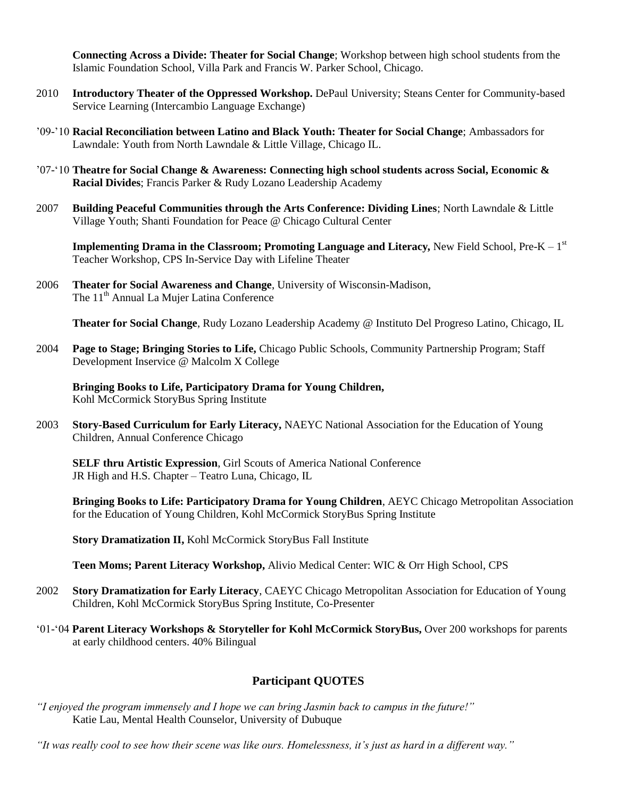**Connecting Across a Divide: Theater for Social Change**; Workshop between high school students from the Islamic Foundation School, Villa Park and Francis W. Parker School, Chicago.

- 2010 **Introductory Theater of the Oppressed Workshop.** DePaul University; Steans Center for Community-based Service Learning (Intercambio Language Exchange)
- '09-'10 **Racial Reconciliation between Latino and Black Youth: Theater for Social Change**; Ambassadors for Lawndale: Youth from North Lawndale & Little Village, Chicago IL.
- '07-'10 **Theatre for Social Change & Awareness: Connecting high school students across Social, Economic & Racial Divides**; Francis Parker & Rudy Lozano Leadership Academy
- 2007 **Building Peaceful Communities through the Arts Conference: Dividing Lines**; North Lawndale & Little Village Youth; Shanti Foundation for Peace @ Chicago Cultural Center

**Implementing Drama in the Classroom; Promoting Language and Literacy, New Field School, Pre-K – 1st** Teacher Workshop, CPS In-Service Day with Lifeline Theater

2006 **Theater for Social Awareness and Change**, University of Wisconsin-Madison, The 11<sup>th</sup> Annual La Mujer Latina Conference

**Theater for Social Change**, Rudy Lozano Leadership Academy @ Instituto Del Progreso Latino, Chicago, IL

2004 **Page to Stage; Bringing Stories to Life,** Chicago Public Schools, Community Partnership Program; Staff Development Inservice @ Malcolm X College

**Bringing Books to Life, Participatory Drama for Young Children,**  Kohl McCormick StoryBus Spring Institute

2003 **Story-Based Curriculum for Early Literacy,** NAEYC National Association for the Education of Young Children, Annual Conference Chicago

**SELF thru Artistic Expression**, Girl Scouts of America National Conference JR High and H.S. Chapter – Teatro Luna, Chicago, IL

**Bringing Books to Life: Participatory Drama for Young Children**, AEYC Chicago Metropolitan Association for the Education of Young Children, Kohl McCormick StoryBus Spring Institute

**Story Dramatization II,** Kohl McCormick StoryBus Fall Institute

**Teen Moms; Parent Literacy Workshop,** Alivio Medical Center: WIC & Orr High School, CPS

- 2002 **Story Dramatization for Early Literacy**, CAEYC Chicago Metropolitan Association for Education of Young Children, Kohl McCormick StoryBus Spring Institute, Co-Presenter
- '01-'04 **Parent Literacy Workshops & Storyteller for Kohl McCormick StoryBus,** Over 200 workshops for parents at early childhood centers. 40% Bilingual

## **Participant QUOTES**

*"I enjoyed the program immensely and I hope we can bring Jasmin back to campus in the future!"*  Katie Lau, Mental Health Counselor, University of Dubuque

*"It was really cool to see how their scene was like ours. Homelessness, it"s just as hard in a different way."*